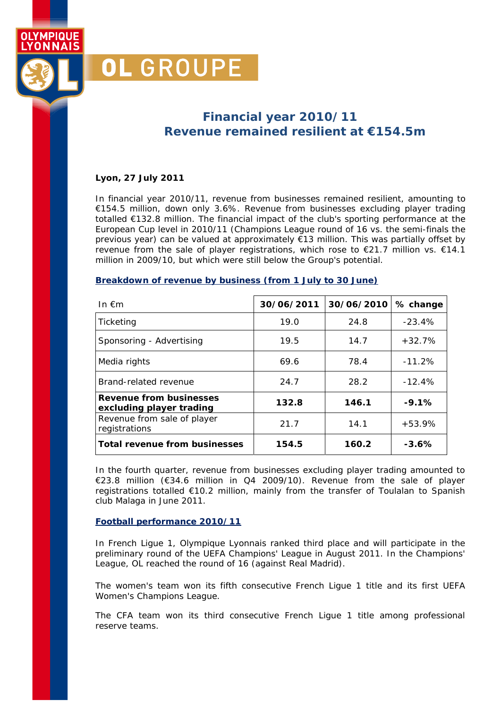## **Financial year 2010/11 Revenue remained resilient at** *€154.5m*

#### **Lyon, 27 July 2011**

OL GROUPE

OI YMPIOUF YONNAIS

> In financial year 2010/11, revenue from businesses remained resilient, amounting to €154.5 million, down only 3.6%. Revenue from businesses excluding player trading totalled €132.8 million. The financial impact of the club's sporting performance at the European Cup level in 2010/11 (Champions League round of 16 vs. the semi-finals the previous year) can be valued at approximately €13 million. This was partially offset by revenue from the sale of player registrations, which rose to €21.7 million vs. €14.1 million in 2009/10, but which were still below the Group's potential.

#### **Breakdown of revenue by business (from 1 July to 30 June)**

| In $\notin$ m                                              | 30/06/2011 | 30/06/2010 | % change |
|------------------------------------------------------------|------------|------------|----------|
| Ticketing                                                  | 19.0       | 24.8       | $-23.4%$ |
| Sponsoring - Advertising                                   | 19.5       | 14.7       | $+32.7%$ |
| Media rights                                               | 69.6       | 78.4       | $-11.2%$ |
| Brand-related revenue                                      | 24.7       | 28.2       | $-12.4%$ |
| <b>Revenue from businesses</b><br>excluding player trading | 132.8      | 146.1      | $-9.1%$  |
| Revenue from sale of player<br>registrations               | 21.7       | 14.1       | $+53.9%$ |
| <b>Total revenue from businesses</b>                       | 154.5      | 160.2      | $-3.6%$  |

In the fourth quarter, revenue from businesses excluding player trading amounted to €23.8 million (€34.6 million in Q4 2009/10). Revenue from the sale of player registrations totalled €10.2 million, mainly from the transfer of Toulalan to Spanish club Malaga in June 2011.

#### **Football performance 2010/11**

In French Ligue 1, Olympique Lyonnais ranked third place and will participate in the preliminary round of the UEFA Champions' League in August 2011. In the Champions' League, OL reached the round of 16 (against Real Madrid).

The women's team won its fifth consecutive French Ligue 1 title and its first UEFA Women's Champions League.

The CFA team won its third consecutive French Ligue 1 title among professional reserve teams.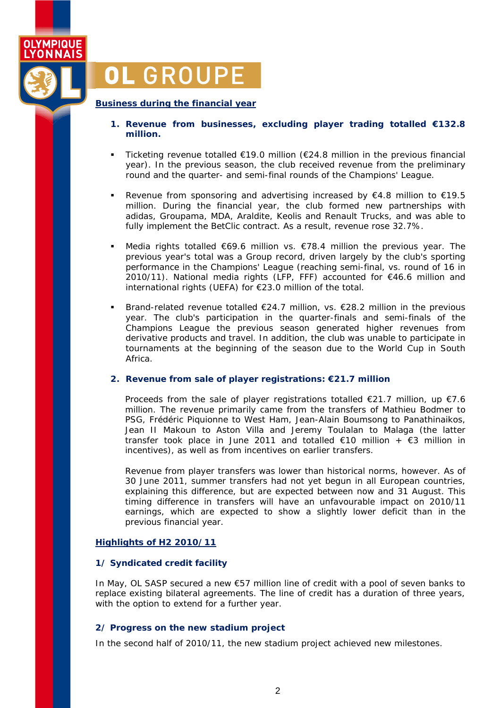

# OL GROUPE

#### **Business during the financial year**

- **1. Revenue from businesses, excluding player trading totalled €132.8 million.**
- Ticketing revenue totalled €19.0 million (€24.8 million in the previous financial year). In the previous season, the club received revenue from the preliminary round and the quarter- and semi-final rounds of the Champions' League.
- Revenue from sponsoring and advertising increased by  $€4.8$  million to  $€19.5$ million. During the financial year, the club formed new partnerships with adidas, Groupama, MDA, Araldite, Keolis and Renault Trucks, and was able to fully implement the BetClic contract. As a result, revenue rose 32.7%.
- Media rights totalled €69.6 million vs. €78.4 million the previous year. The previous year's total was a Group record, driven largely by the club's sporting performance in the Champions' League (reaching semi-final, vs. round of 16 in 2010/11). National media rights (LFP, FFF) accounted for €46.6 million and international rights (UEFA) for €23.0 million of the total.
- Brand-related revenue totalled  $\epsilon$ 24.7 million, vs.  $\epsilon$ 28.2 million in the previous year. The club's participation in the quarter-finals and semi-finals of the Champions League the previous season generated higher revenues from derivative products and travel. In addition, the club was unable to participate in tournaments at the beginning of the season due to the World Cup in South Africa.

#### **2. Revenue from sale of player registrations: €21.7 million**

Proceeds from the sale of player registrations totalled €21.7 million, up €7.6 million. The revenue primarily came from the transfers of Mathieu Bodmer to PSG, Frédéric Piquionne to West Ham, Jean-Alain Boumsong to Panathinaikos, Jean II Makoun to Aston Villa and Jeremy Toulalan to Malaga (the latter transfer took place in June 2011 and totalled €10 million +  $\epsilon$ 3 million in incentives), as well as from incentives on earlier transfers.

Revenue from player transfers was lower than historical norms, however. As of 30 June 2011, summer transfers had not yet begun in all European countries, explaining this difference, but are expected between now and 31 August. This timing difference in transfers will have an unfavourable impact on 2010/11 earnings, which are expected to show a slightly lower deficit than in the previous financial year.

#### **Highlights of H2 2010/11**

#### **1/ Syndicated credit facility**

In May, OL SASP secured a new €57 million line of credit with a pool of seven banks to replace existing bilateral agreements. The line of credit has a duration of three years, with the option to extend for a further year.

#### **2/ Progress on the new stadium project**

In the second half of 2010/11, the new stadium project achieved new milestones.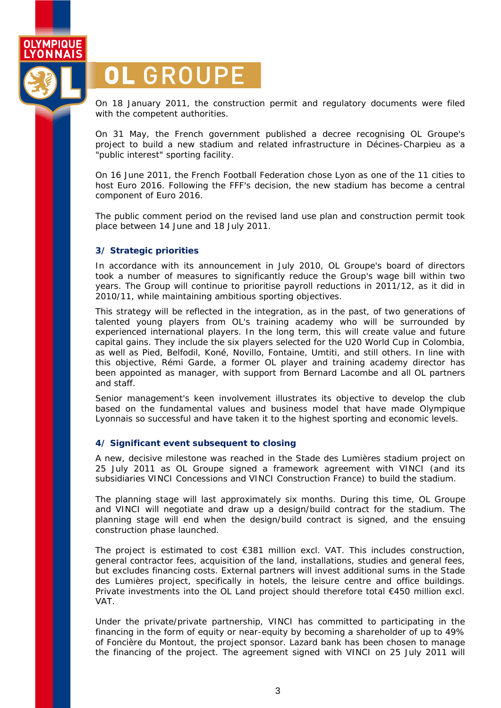

# OL GROUPE

On 18 January 2011, the construction permit and regulatory documents were filed with the competent authorities.

On 31 May, the French government published a decree recognising OL Groupe's project to build a new stadium and related infrastructure in Décines-Charpieu as a "public interest" sporting facility.

On 16 June 2011, the French Football Federation chose Lyon as one of the 11 cities to host Euro 2016. Following the FFF's decision, the new stadium has become a central component of Euro 2016.

The public comment period on the revised land use plan and construction permit took place between 14 June and 18 July 2011.

#### **3/ Strategic priorities**

In accordance with its announcement in July 2010, OL Groupe's board of directors took a number of measures to significantly reduce the Group's wage bill within two years. The Group will continue to prioritise payroll reductions in 2011/12, as it did in 2010/11, while maintaining ambitious sporting objectives.

This strategy will be reflected in the integration, as in the past, of two generations of talented young players from OL's training academy who will be surrounded by experienced international players. In the long term, this will create value and future capital gains. They include the six players selected for the U20 World Cup in Colombia, as well as Pied, Belfodil, Koné, Novillo, Fontaine, Umtiti, and still others. In line with this objective, Rémi Garde, a former OL player and training academy director has been appointed as manager, with support from Bernard Lacombe and all OL partners and staff.

Senior management's keen involvement illustrates its objective to develop the club based on the fundamental values and business model that have made Olympique Lyonnais so successful and have taken it to the highest sporting and economic levels.

#### **4/ Significant event subsequent to closing**

A new, decisive milestone was reached in the *Stade des Lumières* stadium project on 25 July 2011 as OL Groupe signed a framework agreement with VINCI (and its subsidiaries VINCI Concessions and VINCI Construction France) to build the stadium.

The planning stage will last approximately six months. During this time, OL Groupe and VINCI will negotiate and draw up a design/build contract for the stadium. The planning stage will end when the design/build contract is signed, and the ensuing construction phase launched.

The project is estimated to cost €381 million excl. VAT. This includes construction, general contractor fees, acquisition of the land, installations, studies and general fees, but excludes financing costs. External partners will invest additional sums in the *Stade des Lumières* project, specifically in hotels, the leisure centre and office buildings. Private investments into the OL Land project should therefore total €450 million excl. VAT.

Under the private/private partnership, VINCI has committed to participating in the financing in the form of equity or near-equity by becoming a shareholder of up to 49% of Foncière du Montout, the project sponsor. Lazard bank has been chosen to manage the financing of the project. The agreement signed with VINCI on 25 July 2011 will